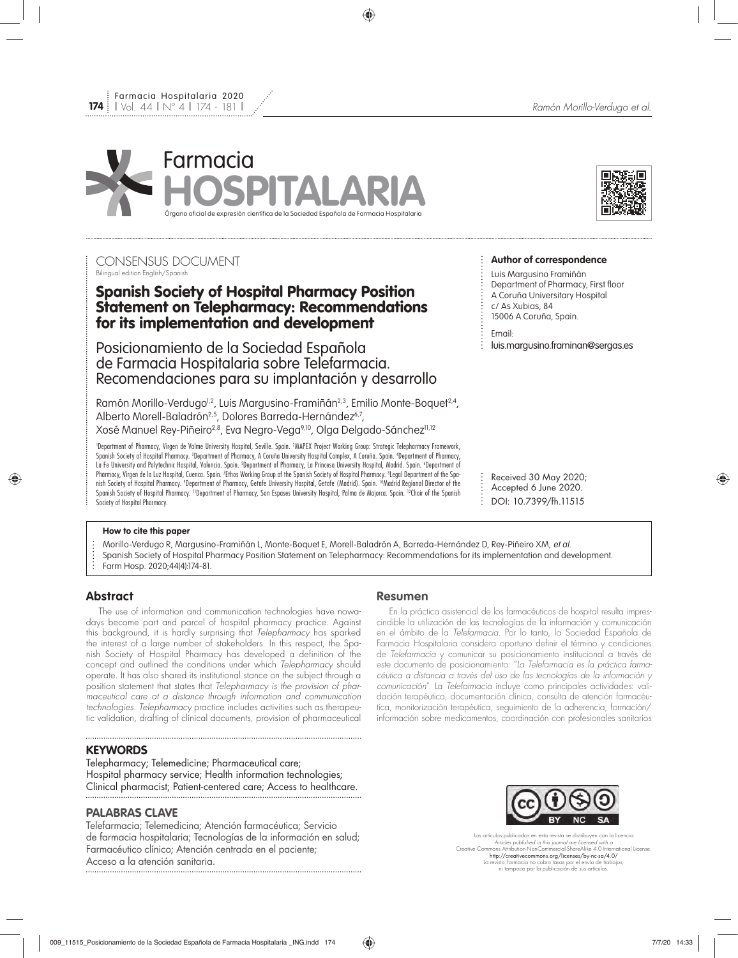

## CONSENSUS DOCUMENT Bilingual edition English/Spanish

# Spanish Society of Hospital Pharmacy Position Statement on Telepharmacy: Recommendations for its implementation and development

Posicionamiento de la Sociedad Española de Farmacia Hospitalaria sobre Telefarmacia. Recomendaciones para su implantación y desarrollo

Ramón Morillo-Verdugo<sup>1,2</sup>, Luis Margusino-Framiñán<sup>2,3</sup>, Emilio Monte-Boquet<sup>2,4</sup>, Alberto Morell-Baladrón<sup>2,5</sup>, Dolores Barreda-Hernández<sup>6,7</sup>, Xosé Manuel Rey-Piñeiro<sup>2,8</sup>, Eva Negro-Vega<sup>9,10</sup>, Olga Delgado-Sánchez<sup>11,12</sup>

1 Department of Pharmacy, Virgen de Valme University Hospital, Seville. Spain. 2 MAPEX Project Working Group: Strategic Telepharmacy Framework, Spanish Society of Hospital Pharmacy. <sup>3</sup>Department of Pharmacy, A Coruña University Hospital Complex, A Coruña. Spain. <sup>4</sup>Department of Pharmacy, La Fe University and Polytechnic Hospital, Valencia. Spain. <sup>s</sup>Department of Pharmacy, La Princesa University Hospital, Madrid. Spain. 'Department of Pharmacy, Virgen de la Luz Hospital, Cuenca. Spain. <sup>7</sup>Ethos Working Group of the Spanish Society of Hospital Pharmacy. ®Legal Department of the Spanish Society of Hospital Pharmacy. <sup>9</sup>Department of Pharmacy, Getafe University Hospital, Getafe (Madrid). Spain. <sup>10</sup>Madrid Regional Director of the Spanish Society of Hospital Pharmacy. <sup>11</sup>Department of Pharmacy, Son Espases University Hospital, Palma de Majorca. Spain. <sup>12</sup>Chair of the Spanish Society of Hospital Pharmacy.

#### **Author of correspondence**

Luis Margusino Framiñán Department of Pharmacy, First floor A Coruña Universitary Hospital c/ As Xubias, 84 15006 A Coruña, Spain.

Email:

luis.margusino.framinan@sergas.es

Received 30 May 2020; Accepted 6 June 2020. DOI: 10.7399/fh.11515

#### **How to cite this paper**

- Morillo-Verdugo R, Margusino-Framiñán L, Monte-Boquet E, Morell-Baladrón A, Barreda-Hernández D, Rey-Piñeiro XM, et al.
- Spanish Society of Hospital Pharmacy Position Statement on Telepharmacy: Recommendations for its implementation and development.
- Farm Hosp. 2020;44(4):174-81.

## **Abstract**

The use of information and communication technologies have nowadays become part and parcel of hospital pharmacy practice. Against this background, it is hardly surprising that *Telepharmacy* has sparked the interest of a large number of stakeholders. In this respect, the Spanish Society of Hospital Pharmacy has developed a definition of the concept and outlined the conditions under which *Telepharmacy* should operate. It has also shared its institutional stance on the subject through a position statement that states that *Telepharmacy is the provision of pharmaceutical care at a distance through information and communication technologies*. *Telepharmacy* practice includes activities such as therapeutic validation, drafting of clinical documents, provision of pharmaceutical

### **KEYWORDS**

Telepharmacy; Telemedicine; Pharmaceutical care; Hospital pharmacy service; Health information technologies; Clinical pharmacist; Patient-centered care; Access to healthcare.

## **PALABRAS CLAVE**

Telefarmacia; Telemedicina; Atención farmacéutica; Servicio de farmacia hospitalaria; Tecnologías de la información en salud; Farmacéutico clínico; Atención centrada en el paciente; Acceso a la atención sanitaria.

## **Resumen**

En la práctica asistencial de los farmacéuticos de hospital resulta imprescindible la utilización de las tecnologías de la información y comunicación en el ámbito de la *Telefarmacia*. Por lo tanto, la Sociedad Española de Farmacia Hospitalaria considera oportuno definir el término y condiciones de *Telefarmacia* y comunicar su posicionamiento institucional a través de este documento de posicionamiento: "*La Telefarmacia es la práctica farmacéutica a distancia a través del uso de las tecnologías de la información y comunicación*". La *Telefarmacia* incluye como principales actividades: validación terapéutica, documentación clínica, consulta de atención farmacéutica, monitorización terapéutica, seguimiento de la adherencia, formación/ información sobre medicamentos, coordinación con profesionales sanitarios



Los artículos publicados en esta revista se distribuyen con la licencia *Articles published in this journal are licensed with a* Creative Commons Attribution-NonCommercial-ShareAlike 4.0 International License. http://creativecommons.org/licenses/by-nc-sa/4.0/ La revista Farmacia no cobra tasas por el envío de trabajos, ni tampoco por la publicación de sus artículos.

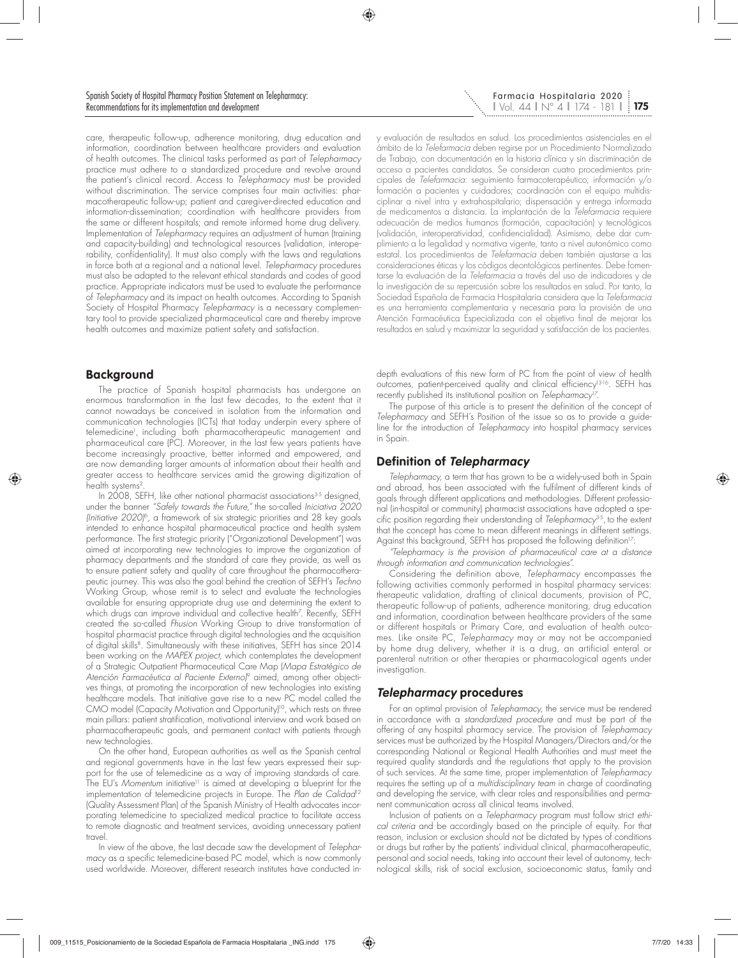**175** l Vol. 44 l Nº 4 l 174 - 181 l Farmacia Hospitalaria 2020

care, therapeutic follow-up, adherence monitoring, drug education and information, coordination between healthcare providers and evaluation of health outcomes. The clinical tasks performed as part of *Telepharmacy* practice must adhere to a standardized procedure and revolve around the patient's clinical record. Access to *Telepharmacy* must be provided without discrimination. The service comprises four main activities: pharmacotherapeutic follow-up; patient and caregiver-directed education and information-dissemination; coordination with healthcare providers from the same or different hospitals; and remote informed home drug delivery. Implementation of *Telepharmacy* requires an adjustment of human (training and capacity-building) and technological resources (validation, interoperability, confidentiality). It must also comply with the laws and regulations in force both at a regional and a national level. *Telepharmacy* procedures must also be adapted to the relevant ethical standards and codes of good practice. Appropriate indicators must be used to evaluate the performance of *Telepharmacy* and its impact on health outcomes. According to Spanish Society of Hospital Pharmacy *Telepharmacy* is a necessary complementary tool to provide specialized pharmaceutical care and thereby improve health outcomes and maximize patient safety and satisfaction.

#### **Background**

The practice of Spanish hospital pharmacists has undergone an enormous transformation in the last few decades, to the extent that it cannot nowadays be conceived in isolation from the information and communication technologies (ICTs) that today underpin every sphere of telemedicine<sup>1</sup>, including both pharmacotherapeutic management and pharmaceutical care (PC). Moreover, in the last few years patients have become increasingly proactive, better informed and empowered, and are now demanding larger amounts of information about their health and greater access to healthcare services amid the growing digitization of health systems<sup>2</sup>.

In  $2008$ , SEFH, like other national pharmacist associations<sup>3-5</sup> designed, under the banner *"Safely towards the Future,"* the so-called *Iniciativa 2020 (Initiative 2020)*<sup>6</sup>*,* a framework of six strategic priorities and 28 key goals intended to enhance hospital pharmaceutical practice and health system performance. The first strategic priority ("Organizational Development") was aimed at incorporating new technologies to improve the organization of pharmacy departments and the standard of care they provide, as well as to ensure patient safety and quality of care throughout the pharmacotherapeutic journey. This was also the goal behind the creation of SEFH's *Techno* Working Group, whose remit is to select and evaluate the technologies available for ensuring appropriate drug use and determining the extent to which drugs can improve individual and collective health7 . Recently, SEFH created the so-called *Fhusion* Working Group to drive transformation of hospital pharmacist practice through digital technologies and the acquisition of digital skills<sup>8</sup>. Simultaneously with these initiatives, SEFH has since 2014 been working on the *MAPEX project,* which contemplates the development of a Strategic Outpatient Pharmaceutical Care Map (*Mapa Estratégico de Atención Farmacéutica al Paciente Externo)*9 aimed, among other objectives things, at promoting the incorporation of new technologies into existing healthcare models. That initiative gave rise to a new PC model called the CMO model (Capacity Motivation and Opportunity)<sup>10</sup>, which rests on three main pillars: patient stratification, motivational interview and work based on pharmacotherapeutic goals, and permanent contact with patients through new technologies.

On the other hand, European authorities as well as the Spanish central and regional governments have in the last few years expressed their support for the use of telemedicine as a way of improving standards of care. The EU's Momentum initiative<sup>11</sup> is aimed at developing a blueprint for the implementation of telemedicine projects in Europe. The *Plan de Calidad*<sup>12</sup> (Quality Assessment Plan) of the Spanish Ministry of Health advocates incorporating telemedicine to specialized medical practice to facilitate access to remote diagnostic and treatment services, avoiding unnecessary patient travel.

In view of the above, the last decade saw the development of *Telepharmacy* as a specific telemedicine-based PC model, which is now commonly used worldwide. Moreover, different research institutes have conducted iny evaluación de resultados en salud. Los procedimientos asistenciales en el ámbito de la *Telefarmacia* deben regirse por un Procedimiento Normalizado de Trabajo, con documentación en la historia clínica y sin discriminación de acceso a pacientes candidatos. Se consideran cuatro procedimientos principales de *Telefarmacia*: seguimiento farmacoterapéutico; información y/o formación a pacientes y cuidadores; coordinación con el equipo multidisciplinar a nivel intra y extrahospitalario; dispensación y entrega informada de medicamentos a distancia. La implantación de la *Telefarmacia* requiere adecuación de medios humanos (formación, capacitación) y tecnológicos (validación, interoperatividad, confidencialidad). Asimismo, debe dar cumplimiento a la legalidad y normativa vigente, tanto a nivel autonómico como estatal. Los procedimientos de *Telefarmacia* deben también ajustarse a las consideraciones éticas y los códigos deontológicos pertinentes. Debe fomentarse la evaluación de la *Telefarmacia* a través del uso de indicadores y de la investigación de su repercusión sobre los resultados en salud. Por tanto, la Sociedad Española de Farmacia Hospitalaria considera que la *Telefarmacia* es una herramienta complementaria y necesaria para la provisión de una Atención Farmacéutica Especializada con el objetivo final de mejorar los resultados en salud y maximizar la seguridad y satisfacción de los pacientes.

depth evaluations of this new form of PC from the point of view of health outcomes, patient-perceived quality and clinical efficiency13-16. SEFH has recently published its institutional position on *Telepharmacy*<sup>17</sup>

The purpose of this article is to present the definition of the concept of *Telepharmacy* and SEFH's Position of the issue so as to provide a guideline for the introduction of *Telepharmacy* into hospital pharmacy services in Spain.

### **Definition of Telepharmacy**

*Telepharmacy,* a term that has grown to be a widely-used both in Spain and abroad, has been associated with the fulfilment of different kinds of goals through different applications and methodologies. Different professional (in-hospital or community) pharmacist associations have adopted a specific position regarding their understanding of *Telepharmacy*3-5, to the extent that the concept has come to mean different meanings in different settings. Against this background, SEFH has proposed the following definition<sup>17</sup>:

*"Telepharmacy is the provision of pharmaceutical care at a distance through information and communication technologies".*

Considering the definition above, *Telepharmacy* encompasses the following activities commonly performed in hospital pharmacy services: therapeutic validation, drafting of clinical documents, provision of PC, therapeutic follow-up of patients, adherence monitoring, drug education and information, coordination between healthcare providers of the same or different hospitals or Primary Care, and evaluation of health outcomes. Like onsite PC, *Telepharmacy* may or may not be accompanied by home drug delivery, whether it is a drug, an artificial enteral or parenteral nutrition or other therapies or pharmacological agents under investigation.

### **Telepharmacy procedures**

For an optimal provision of *Telepharmacy*, the service must be rendered in accordance with a *standardized procedure* and must be part of the offering of any hospital pharmacy service. The provision of *Telepharmacy* services must be authorized by the Hospital Managers/Directors and/or the corresponding National or Regional Health Authorities and must meet the required quality standards and the regulations that apply to the provision of such services. At the same time, proper implementation of *Telepharmacy* requires the setting up of a *multidisciplinary team* in charge of coordinating and developing the service, with clear roles and responsibilities and permanent communication across all clinical teams involved.

Inclusion of patients on a *Telepharmacy* program must follow strict *ethical criteria* and be accordingly based on the principle of equity. For that reason, inclusion or exclusion should not be dictated by types of conditions or drugs but rather by the patients' individual clinical, pharmacotherapeutic, personal and social needs, taking into account their level of autonomy, technological skills, risk of social exclusion, socioeconomic status, family and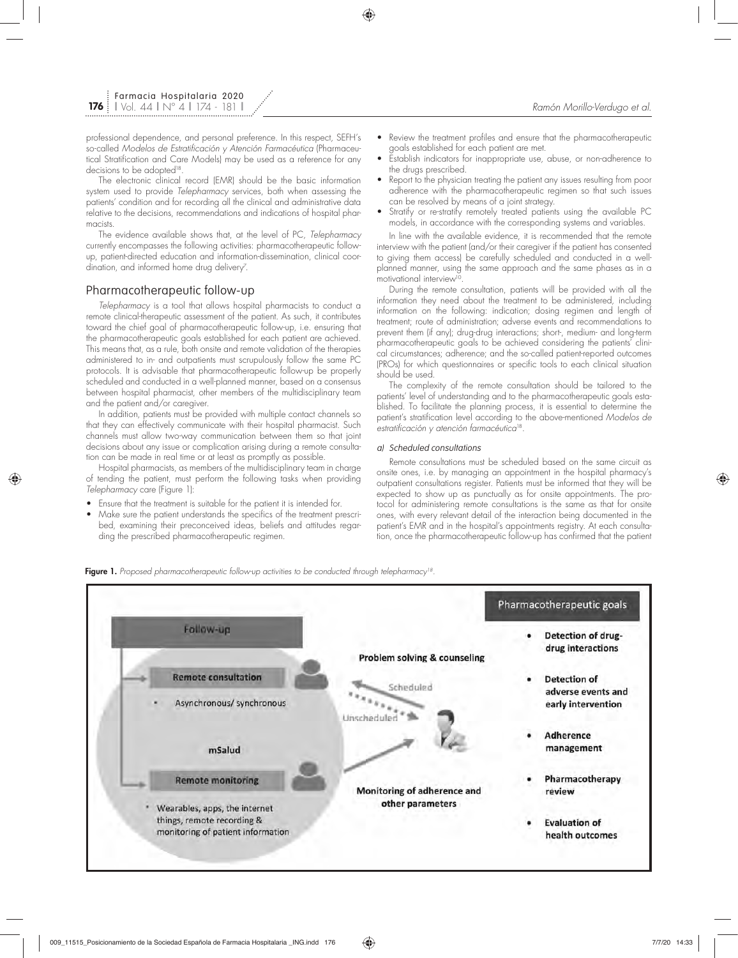professional dependence, and personal preference. In this respect, SEFH's so-called *Modelos de Estratificación y Atención Farmacéutica* (Pharmaceutical Stratification and Care Models) may be used as a reference for any decisions to be adopted<sup>18</sup>.

The electronic clinical record (EMR) should be the basic information system used to provide *Telepharmacy* services, both when assessing the patients' condition and for recording all the clinical and administrative data relative to the decisions, recommendations and indications of hospital pharmacists.

The evidence available shows that, at the level of PC, *Telepharmacy* currently encompasses the following activities: pharmacotherapeutic followup, patient-directed education and information-dissemination, clinical coordination, and informed home drug delivery $\vec{ }$  .

#### Pharmacotherapeutic follow-up

*Telepharmacy* is a tool that allows hospital pharmacists to conduct a remote clinical-therapeutic assessment of the patient. As such, it contributes toward the chief goal of pharmacotherapeutic follow-up, i.e. ensuring that the pharmacotherapeutic goals established for each patient are achieved. This means that, as a rule, both onsite and remote validation of the therapies administered to in- and outpatients must scrupulously follow the same PC protocols. It is advisable that pharmacotherapeutic follow-up be properly scheduled and conducted in a well-planned manner, based on a consensus between hospital pharmacist, other members of the multidisciplinary team and the patient and/or caregiver.

In addition, patients must be provided with multiple contact channels so that they can effectively communicate with their hospital pharmacist. Such channels must allow two-way communication between them so that joint decisions about any issue or complication arising during a remote consultation can be made in real time or at least as promptly as possible.

Hospital pharmacists, as members of the multidisciplinary team in charge of tending the patient, must perform the following tasks when providing *Telepharmacy* care (Figure 1):

- Ensure that the treatment is suitable for the patient it is intended for.
- Make sure the patient understands the specifics of the treatment prescribed, examining their preconceived ideas, beliefs and attitudes regarding the prescribed pharmacotherapeutic regimen.
- Review the treatment profiles and ensure that the pharmacotherapeutic goals established for each patient are met.
- Establish indicators for inappropriate use, abuse, or non-adherence to the drugs prescribed.
- Report to the physician treating the patient any issues resulting from poor adherence with the pharmacotherapeutic regimen so that such issues can be resolved by means of a joint strategy.
- Stratify or re-stratify remotely treated patients using the available PC models, in accordance with the corresponding systems and variables.

In line with the available evidence, it is recommended that the remote interview with the patient (and/or their caregiver if the patient has consented to giving them access) be carefully scheduled and conducted in a wellplanned manner, using the same approach and the same phases as in a motivational interview<sup>10</sup>.

During the remote consultation, patients will be provided with all the information they need about the treatment to be administered, including information on the following: indication; dosing regimen and length of treatment; route of administration; adverse events and recommendations to prevent them (if any); drug-drug interactions; short-, medium- and long-term pharmacotherapeutic goals to be achieved considering the patients' clinical circumstances; adherence; and the so-called patient-reported outcomes (PROs) for which questionnaires or specific tools to each clinical situation should be used.

The complexity of the remote consultation should be tailored to the patients' level of understanding and to the pharmacotherapeutic goals established. To facilitate the planning process, it is essential to determine the patient's stratification level according to the above-mentioned *Modelos de estratificación y atención farmacéutica*18.

#### a) Scheduled consultations

Remote consultations must be scheduled based on the same circuit as onsite ones, i.e. by managing an appointment in the hospital pharmacy's outpatient consultations register. Patients must be informed that they will be expected to show up as punctually as for onsite appointments. The protocol for administering remote consultations is the same as that for onsite ones, with every relevant detail of the interaction being documented in the patient's EMR and in the hospital's appointments registry. At each consultation, once the pharmacotherapeutic follow-up has confirmed that the patient



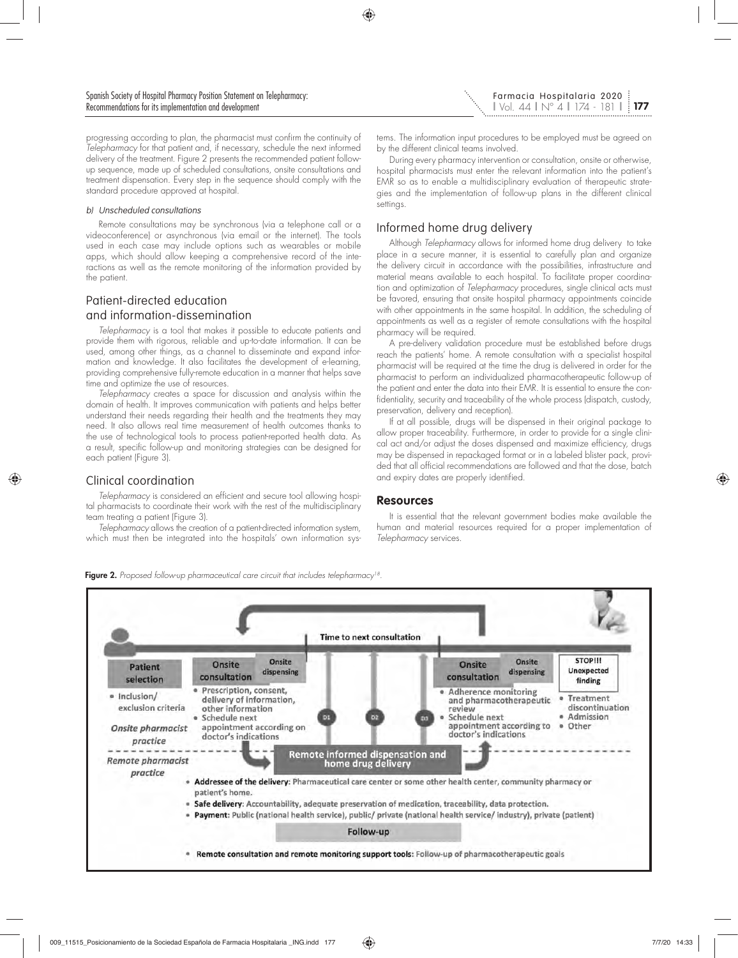progressing according to plan, the pharmacist must confirm the continuity of *Telepharmacy* for that patient and, if necessary, schedule the next informed delivery of the treatment. Figure 2 presents the recommended patient followup sequence, made up of scheduled consultations, onsite consultations and treatment dispensation. Every step in the sequence should comply with the standard procedure approved at hospital.

#### b) Unscheduled consultations

Remote consultations may be synchronous (via a telephone call or a videoconference) or asynchronous (via email or the internet). The tools used in each case may include options such as wearables or mobile apps, which should allow keeping a comprehensive record of the interactions as well as the remote monitoring of the information provided by the patient.

## Patient-directed education and information-dissemination

*Telepharmacy* is a tool that makes it possible to educate patients and provide them with rigorous, reliable and up-to-date information. It can be used, among other things, as a channel to disseminate and expand information and knowledge. It also facilitates the development of e-learning, providing comprehensive fully-remote education in a manner that helps save time and optimize the use of resources.

*Telepharmacy* creates a space for discussion and analysis within the domain of health. It improves communication with patients and helps better understand their needs regarding their health and the treatments they may need. It also allows real time measurement of health outcomes thanks to the use of technological tools to process patient-reported health data. As a result, specific follow-up and monitoring strategies can be designed for each patient (Figure 3).

## Clinical coordination

*Telepharmacy* is considered an efficient and secure tool allowing hospital pharmacists to coordinate their work with the rest of the multidisciplinary team treating a patient (Figure 3).

*Telepharmacy* allows the creation of a patient-directed information system, which must then be integrated into the hospitals' own information systems. The information input procedures to be employed must be agreed on by the different clinical teams involved.

During every pharmacy intervention or consultation, onsite or otherwise, hospital pharmacists must enter the relevant information into the patient's EMR so as to enable a multidisciplinary evaluation of therapeutic strategies and the implementation of follow-up plans in the different clinical settings.

## Informed home drug delivery

Although *Telepharmacy* allows for informed home drug delivery to take place in a secure manner, it is essential to carefully plan and organize the delivery circuit in accordance with the possibilities, infrastructure and material means available to each hospital. To facilitate proper coordination and optimization of *Telepharmacy* procedures, single clinical acts must be favored, ensuring that onsite hospital pharmacy appointments coincide with other appointments in the same hospital. In addition, the scheduling of appointments as well as a register of remote consultations with the hospital pharmacy will be required.

A pre-delivery validation procedure must be established before drugs reach the patients' home. A remote consultation with a specialist hospital pharmacist will be required at the time the drug is delivered in order for the pharmacist to perform an individualized pharmacotherapeutic follow-up of the patient and enter the data into their EMR. It is essential to ensure the confidentiality, security and traceability of the whole process (dispatch, custody, preservation, delivery and reception).

If at all possible, drugs will be dispensed in their original package to allow proper traceability. Furthermore, in order to provide for a single clinical act and/or adjust the doses dispensed and maximize efficiency, drugs may be dispensed in repackaged format or in a labeled blister pack, provided that all official recommendations are followed and that the dose, batch and expiry dates are properly identified.

#### **Resources**

It is essential that the relevant government bodies make available the human and material resources required for a proper implementation of *Telepharmacy* services.



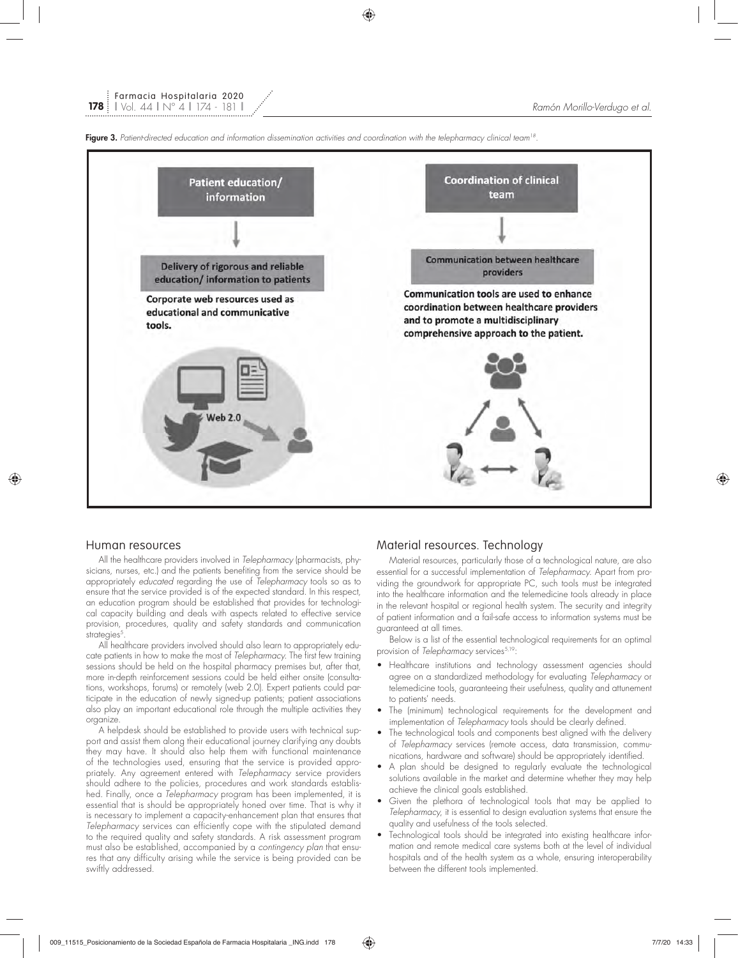

![](_page_4_Figure_3.jpeg)

#### Human resources

All the healthcare providers involved in *Telepharmacy* (pharmacists, physicians, nurses, etc.) and the patients benefiting from the service should be appropriately *educated* regarding the use of *Telepharmacy* tools so as to ensure that the service provided is of the expected standard. In this respect, an education program should be established that provides for technological capacity building and deals with aspects related to effective service provision, procedures, quality and safety standards and communication strategies<sup>5</sup>

All healthcare providers involved should also learn to appropriately educate patients in how to make the most of *Telepharmacy*. The first few training sessions should be held on the hospital pharmacy premises but, after that, more in-depth reinforcement sessions could be held either onsite (consultations, workshops, forums) or remotely (web 2.0). Expert patients could participate in the education of newly signed-up patients; patient associations also play an important educational role through the multiple activities they organize.

A helpdesk should be established to provide users with technical support and assist them along their educational journey clarifying any doubts they may have. It should also help them with functional maintenance of the technologies used, ensuring that the service is provided appropriately. Any agreement entered with *Telepharmacy* service providers should adhere to the policies, procedures and work standards established. Finally, once a *Telepharmacy* program has been implemented, it is essential that is should be appropriately honed over time. That is why it is necessary to implement a capacity-enhancement plan that ensures that *Telepharmacy* services can efficiently cope with the stipulated demand to the required quality and safety standards. A risk assessment program must also be established, accompanied by a *contingency plan* that ensures that any difficulty arising while the service is being provided can be swiftly addressed.

### Material resources. Technology

Material resources, particularly those of a technological nature, are also essential for a successful implementation of *Telepharmacy*. Apart from providing the groundwork for appropriate PC, such tools must be integrated into the healthcare information and the telemedicine tools already in place in the relevant hospital or regional health system. The security and integrity of patient information and a fail-safe access to information systems must be guaranteed at all times.

Below is a list of the essential technological requirements for an optimal provision of *Telepharmacy* services<sup>5,19</sup>:

- Healthcare institutions and technology assessment agencies should agree on a standardized methodology for evaluating *Telepharmacy* or telemedicine tools, guaranteeing their usefulness, quality and attunement to patients' needs.
- The (minimum) technological requirements for the development and implementation of *Telepharmacy* tools should be clearly defined.
- The technological tools and components best aligned with the delivery of *Telepharmacy* services (remote access, data transmission, communications, hardware and software) should be appropriately identified.
- A plan should be designed to regularly evaluate the technological solutions available in the market and determine whether they may help achieve the clinical goals established.
- Given the plethora of technological tools that may be applied to *Telepharmacy*, it is essential to design evaluation systems that ensure the quality and usefulness of the tools selected.
- Technological tools should be integrated into existing healthcare information and remote medical care systems both at the level of individual hospitals and of the health system as a whole, ensuring interoperability between the different tools implemented.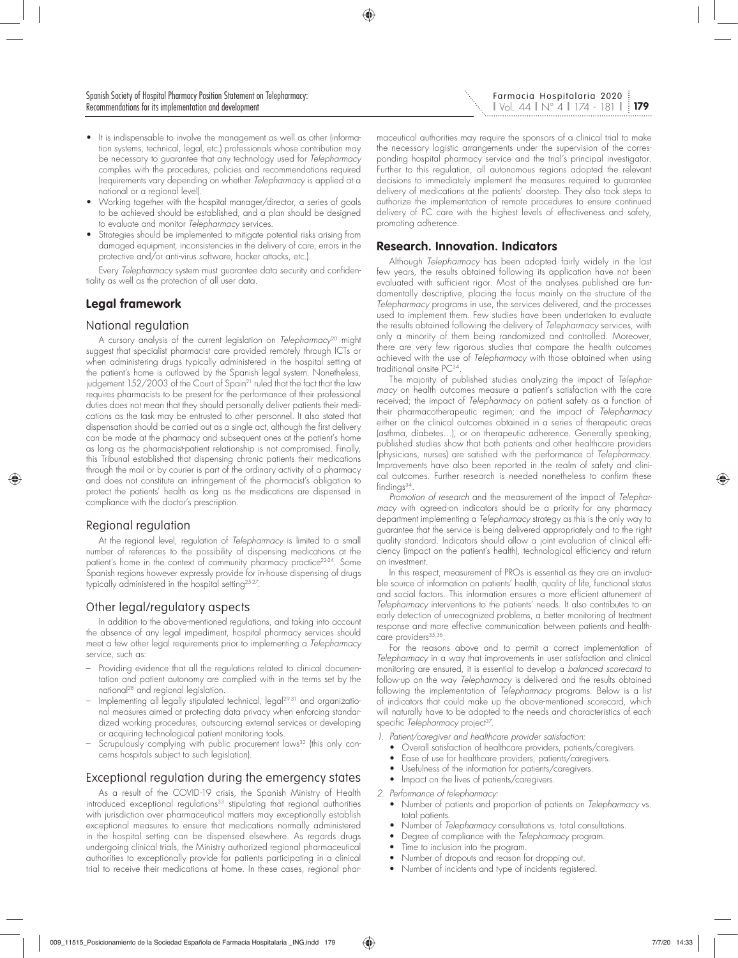- It is indispensable to involve the management as well as other (information systems, technical, legal, etc.) professionals whose contribution may be necessary to guarantee that any technology used for *Telepharmacy* complies with the procedures, policies and recommendations required (requirements vary depending on whether *Telepharmacy* is applied at a national or a regional level).
- Working together with the hospital manager/director, a series of goals to be achieved should be established, and a plan should be designed to evaluate and monitor *Telepharmacy* services.
- Strategies should be implemented to mitigate potential risks arising from damaged equipment, inconsistencies in the delivery of care, errors in the protective and/or anti-virus software, hacker attacks, etc.).

Every *Telepharmacy* system must guarantee data security and confidentiality as well as the protection of all user data.

# **Legal framework**

## National regulation

A cursory analysis of the current legislation on *Telepharmacy*20 might suggest that specialist pharmacist care provided remotely through ICTs or when administering drugs typically administered in the hospital setting at the patient's home is outlawed by the Spanish legal system. Nonetheless, judgement 152/2003 of the Court of Spain<sup>21</sup> ruled that the fact that the law requires pharmacists to be present for the performance of their professional duties does not mean that they should personally deliver patients their medications as the task may be entrusted to other personnel. It also stated that dispensation should be carried out as a single act, although the first delivery can be made at the pharmacy and subsequent ones at the patient's home as long as the pharmacist-patient relationship is not compromised. Finally, this Tribunal established that dispensing chronic patients their medications through the mail or by courier is part of the ordinary activity of a pharmacy and does not constitute an infringement of the pharmacist's obligation to protect the patients' health as long as the medications are dispensed in compliance with the doctor's prescription.

## Regional regulation

At the regional level, regulation of *Telepharmacy* is limited to a small number of references to the possibility of dispensing medications at the patient's home in the context of community pharmacy practice<sup>22-24</sup>. Some Spanish regions however expressly provide for in-house dispensing of drugs typically administered in the hospital setting25-27.

## Other legal/regulatory aspects

In addition to the above-mentioned regulations, and taking into account the absence of any legal impediment, hospital pharmacy services should meet a few other legal requirements prior to implementing a *Telepharmacy* service, such as:

- Providing evidence that all the regulations related to clinical documentation and patient autonomy are complied with in the terms set by the national28 and regional legislation.
- Implementing all legally stipulated technical, legal<sup>29-31</sup> and organizational measures aimed at protecting data privacy when enforcing standardized working procedures, outsourcing external services or developing or acquiring technological patient monitoring tools.
- Scrupulously complying with public procurement laws32 (this only concerns hospitals subject to such legislation).

## Exceptional regulation during the emergency states

As a result of the COVID-19 crisis, the Spanish Ministry of Health introduced exceptional regulations<sup>33</sup> stipulating that regional authorities with jurisdiction over pharmaceutical matters may exceptionally establish exceptional measures to ensure that medications normally administered in the hospital setting can be dispensed elsewhere. As regards drugs undergoing clinical trials, the Ministry authorized regional pharmaceutical authorities to exceptionally provide for patients participating in a clinical trial to receive their medications at home. In these cases, regional pharmaceutical authorities may require the sponsors of a clinical trial to make the necessary logistic arrangements under the supervision of the corresponding hospital pharmacy service and the trial's principal investigator. Further to this regulation, all autonomous regions adopted the relevant decisions to immediately implement the measures required to guarantee delivery of medications at the patients' doorstep. They also took steps to authorize the implementation of remote procedures to ensure continued delivery of PC care with the highest levels of effectiveness and safety, promoting adherence.

## **Research. Innovation. Indicators**

Although *Telepharmacy* has been adopted fairly widely in the last few years, the results obtained following its application have not been evaluated with sufficient rigor. Most of the analyses published are fundamentally descriptive, placing the focus mainly on the structure of the *Telepharmacy* programs in use, the services delivered, and the processes used to implement them. Few studies have been undertaken to evaluate the results obtained following the delivery of *Telepharmacy* services, with only a minority of them being randomized and controlled. Moreover, there are very few rigorous studies that compare the health outcomes achieved with the use of *Telepharmacy* with those obtained when using traditional onsite PC34.

The majority of published studies analyzing the impact of *Telepharmacy* on health outcomes measure a patient's satisfaction with the care received; the impact of *Telepharmacy* on patient safety as a function of their pharmacotherapeutic regimen; and the impact of *Telepharmacy* either on the clinical outcomes obtained in a series of therapeutic areas (asthma, diabetes…), or on therapeutic adherence. Generally speaking, published studies show that both patients and other healthcare providers (physicians, nurses) are satisfied with the performance of *Telepharmacy*. Improvements have also been reported in the realm of safety and clinical outcomes. Further research is needed nonetheless to confirm these findinas<sup>34</sup>.

*Promotion of research* and the measurement of the impact of *Telepharmacy* with agreed-on indicators should be a priority for any pharmacy department implementing a *Telepharmacy* strategy as this is the only way to guarantee that the service is being delivered appropriately and to the right quality standard. Indicators should allow a joint evaluation of clinical efficiency (impact on the patient's health), technological efficiency and return on investment.

In this respect, measurement of PROs is essential as they are an invaluable source of information on patients' health, quality of life, functional status and social factors. This information ensures a more efficient attunement of *Telepharmacy* interventions to the patients' needs. It also contributes to an early detection of unrecognized problems, a better monitoring of treatment response and more effective communication between patients and healthcare providers<sup>35,36</sup>

For the reasons above and to permit a correct implementation of *Telepharmacy* in a way that improvements in user satisfaction and clinical monitoring are ensured, it is essential to develop a *balanced scorecard* to follow-up on the way *Telepharmacy* is delivered and the results obtained following the implementation of *Telepharmacy* programs. Below is a list of indicators that could make up the above-mentioned scorecard, which will naturally have to be adapted to the needs and characteristics of each specific *Telepharmacy* project<sup>37</sup>.

*1. Patient/caregiver and healthcare provider satisfaction:*

- Overall satisfaction of healthcare providers, patients/caregivers.
- Ease of use for healthcare providers, patients/caregivers.
- Usefulness of the information for patients/caregivers.
- Impact on the lives of patients/caregivers.

*2. Performance of telepharmacy:*

- Number of patients and proportion of patients on *Telepharmacy* vs. total patients.
- Number of *Telepharmacy* consultations vs. total consultations.
- Degree of compliance with the *Telepharmacy* program.
- Time to inclusion into the program.
- Number of dropouts and reason for dropping out.
- Number of incidents and type of incidents registered.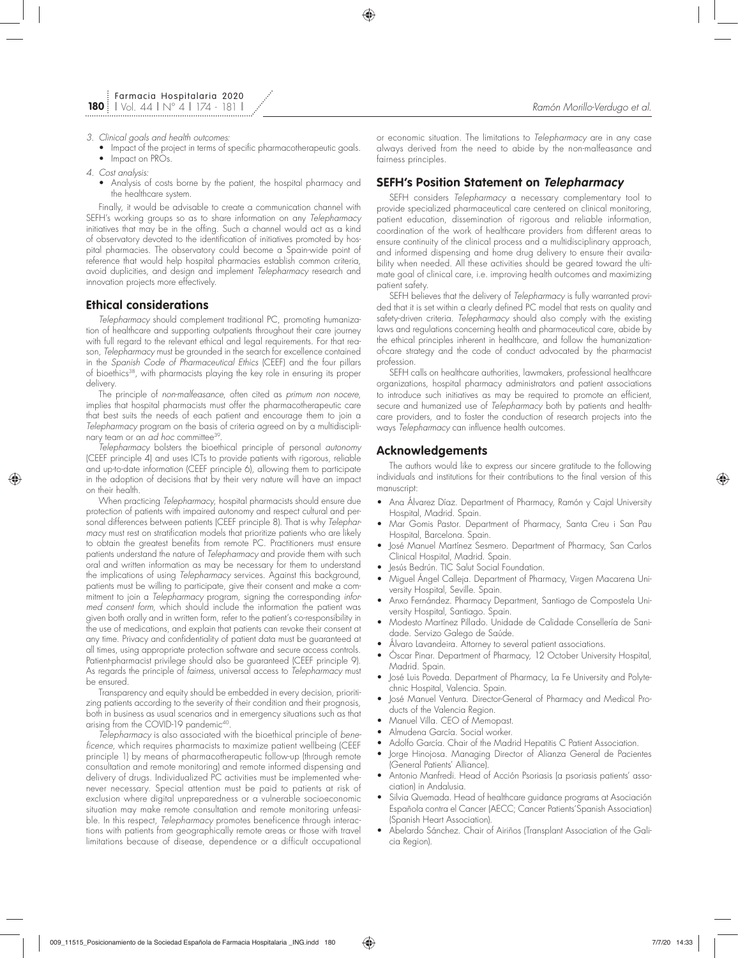- *3. Clinical goals and health outcomes:*
	- Impact of the project in terms of specific pharmacotherapeutic goals.
	- Impact on PROs.
- *4. Cost analysis:*
	- Analysis of costs borne by the patient, the hospital pharmacy and the healthcare system.

Finally, it would be advisable to create a communication channel with SEFH's working groups so as to share information on any *Telepharmacy* initiatives that may be in the offing. Such a channel would act as a kind of observatory devoted to the identification of initiatives promoted by hospital pharmacies. The observatory could become a Spain-wide point of reference that would help hospital pharmacies establish common criteria, avoid duplicities, and design and implement *Telepharmacy* research and innovation projects more effectively.

## **Ethical considerations**

*Telepharmacy* should complement traditional PC, promoting humanization of healthcare and supporting outpatients throughout their care journey with full regard to the relevant ethical and legal requirements. For that reason, *Telepharmacy* must be grounded in the search for excellence contained in the *Spanish Code of Pharmaceutical Ethics* (CEEF) and the four pillars of bioethics<sup>38</sup>, with pharmacists playing the key role in ensuring its proper delivery.

The principle of *non-malfeasance*, often cited as *primum non nocere*, implies that hospital pharmacists must offer the pharmacotherapeutic care that best suits the needs of each patient and encourage them to join a *Telepharmacy* program on the basis of criteria agreed on by a multidisciplinary team or an *ad hoc* committee39.

*Telepharmacy* bolsters the bioethical principle of personal *autonomy* (CEEF principle 4) and uses ICTs to provide patients with rigorous, reliable and up-to-date information (CEEF principle 6), allowing them to participate in the adoption of decisions that by their very nature will have an impact on their health.

When practicing *Telepharmacy*, hospital pharmacists should ensure due protection of patients with impaired autonomy and respect cultural and personal differences between patients (CEEF principle 8). That is why *Telepharmacy* must rest on stratification models that prioritize patients who are likely to obtain the greatest benefits from remote PC. Practitioners must ensure patients understand the nature of *Telepharmacy* and provide them with such oral and written information as may be necessary for them to understand the implications of using *Telepharmacy* services. Against this background, patients must be willing to participate, give their consent and make a commitment to join a *Telepharmacy* program, signing the corresponding *informed consent form*, which should include the information the patient was given both orally and in written form, refer to the patient's co-responsibility in the use of medications, and explain that patients can revoke their consent at any time. Privacy and confidentiality of patient data must be guaranteed at all times, using appropriate protection software and secure access controls. Patient-pharmacist privilege should also be guaranteed (CEEF principle 9). As regards the principle of *fairness*, universal access to *Telepharmacy* must be ensured.

Transparency and equity should be embedded in every decision, prioritizing patients according to the severity of their condition and their prognosis, both in business as usual scenarios and in emergency situations such as that arising from the COVID-19 pandemic<sup>40</sup>.

*Telepharmacy* is also associated with the bioethical principle of *beneficence*, which requires pharmacists to maximize patient wellbeing (CEEF principle 1) by means of pharmacotherapeutic follow-up (through remote consultation and remote monitoring) and remote informed dispensing and delivery of drugs. Individualized PC activities must be implemented whenever necessary. Special attention must be paid to patients at risk of exclusion where digital unpreparedness or a vulnerable socioeconomic situation may make remote consultation and remote monitoring unfeasible. In this respect, *Telepharmacy* promotes beneficence through interactions with patients from geographically remote areas or those with travel limitations because of disease, dependence or a difficult occupational or economic situation. The limitations to *Telepharmacy* are in any case always derived from the need to abide by the non-malfeasance and fairness principles.

#### **SEFH's Position Statement on Telepharmacy**

SEFH considers *Telepharmacy* a necessary complementary tool to provide specialized pharmaceutical care centered on clinical monitoring, patient education, dissemination of rigorous and reliable information, coordination of the work of healthcare providers from different areas to ensure continuity of the clinical process and a multidisciplinary approach, and informed dispensing and home drug delivery to ensure their availability when needed. All these activities should be geared toward the ultimate goal of clinical care, i.e. improving health outcomes and maximizing patient safety.

SEFH believes that the delivery of *Telepharmacy* is fully warranted provided that it is set within a clearly defined PC model that rests on quality and safety-driven criteria. *Telepharmacy* should also comply with the existing laws and regulations concerning health and pharmaceutical care, abide by the ethical principles inherent in healthcare, and follow the humanizationof-care strategy and the code of conduct advocated by the pharmacist profession.

SEFH calls on healthcare authorities, lawmakers, professional healthcare organizations, hospital pharmacy administrators and patient associations to introduce such initiatives as may be required to promote an efficient, secure and humanized use of *Telepharmacy* both by patients and healthcare providers, and to foster the conduction of research projects into the ways *Telepharmacy* can influence health outcomes.

#### **Acknowledgements**

The authors would like to express our sincere gratitude to the following individuals and institutions for their contributions to the final version of this manuscript:

- Ana Álvarez Díaz. Department of Pharmacy, Ramón y Cajal University Hospital, Madrid. Spain.
- Mar Gomis Pastor. Department of Pharmacy, Santa Creu i San Pau Hospital, Barcelona. Spain.
- José Manuel Martínez Sesmero. Department of Pharmacy, San Carlos Clinical Hospital, Madrid. Spain.
- Jesús Bedrún. TIC Salut Social Foundation.
- Miguel Ángel Calleja. Department of Pharmacy, Virgen Macarena University Hospital, Seville. Spain.
- Anxo Fernández. Pharmacy Department, Santiago de Compostela University Hospital, Santiago. Spain.
- Modesto Martínez Pillado. Unidade de Calidade Consellería de Sanidade. Servizo Galego de Saúde.
- Álvaro Lavandeira. Attorney to several patient associations.
- Óscar Pinar. Department of Pharmacy, 12 October University Hospital, Madrid. Spain.
- José Luis Poveda. Department of Pharmacy, La Fe University and Polytechnic Hospital, Valencia. Spain.
- José Manuel Ventura. Director-General of Pharmacy and Medical Products of the Valencia Region.
- Manuel Villa. CEO of Memopast.
- Almudena García. Social worker.
- Adolfo García. Chair of the Madrid Hepatitis C Patient Association.
- Jorge Hinojosa. Managing Director of Alianza General de Pacientes (General Patients' Alliance).
- Antonio Manfredi. Head of Acción Psoriasis (a psoriasis patients' association) in Andalusia.
- Silvia Quemada. Head of healthcare guidance programs at Asociación Española contra el Cancer (AECC; Cancer Patients´Spanish Association) (Spanish Heart Association).
- Abelardo Sánchez. Chair of Airiños (Transplant Association of the Galicia Region).